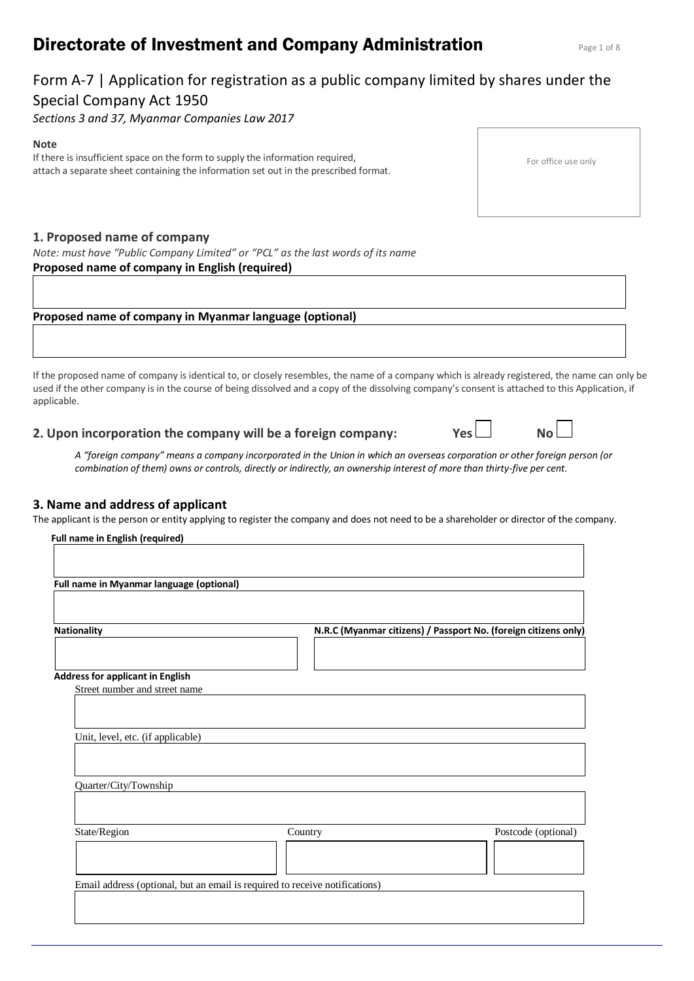# **Directorate of Investment and Company Administration** Page 1 of 8

# Form A-7 | Application for registration as a public company limited by shares under the Special Company Act 1950

*Sections 3 and 37, Myanmar Companies Law 2017*

#### **Note**

If there is insufficient space on the form to supply the information required, attach a separate sheet containing the information set out in the prescribed format.

# **1. Proposed name of company**

*Note: must have "Public Company Limited" or "PCL" as the last words of its name* **Proposed name of company in English (required)** 

# **Proposed name of company in Myanmar language (optional)**

If the proposed name of company is identical to, or closely resembles, the name of a company which is already registered, the name can only be used if the other company is in the course of being dissolved and a copy of the dissolving company's consent is attached to this Application, if applicable.

# **2. Upon incorporation the company will be a foreign company: Yes No**

*A "foreign company" means a company incorporated in the Union in which an overseas corporation or other foreign person (or combination of them) owns or controls, directly or indirectly, an ownership interest of more than thirty-five per cent.*

# **3. Name and address of applicant**

The applicant is the person or entity applying to register the company and does not need to be a shareholder or director of the company.

| Full name in Myanmar language (optional) |         |                                                                 |
|------------------------------------------|---------|-----------------------------------------------------------------|
| <b>Nationality</b>                       |         | N.R.C (Myanmar citizens) / Passport No. (foreign citizens only) |
| <b>Address for applicant in English</b>  |         |                                                                 |
| Street number and street name            |         |                                                                 |
|                                          |         |                                                                 |
| Unit, level, etc. (if applicable)        |         |                                                                 |
|                                          |         |                                                                 |
| Quarter/City/Township                    |         |                                                                 |
|                                          |         |                                                                 |
| State/Region                             | Country | Postcode (optional)                                             |
|                                          |         |                                                                 |
|                                          |         |                                                                 |

For office use only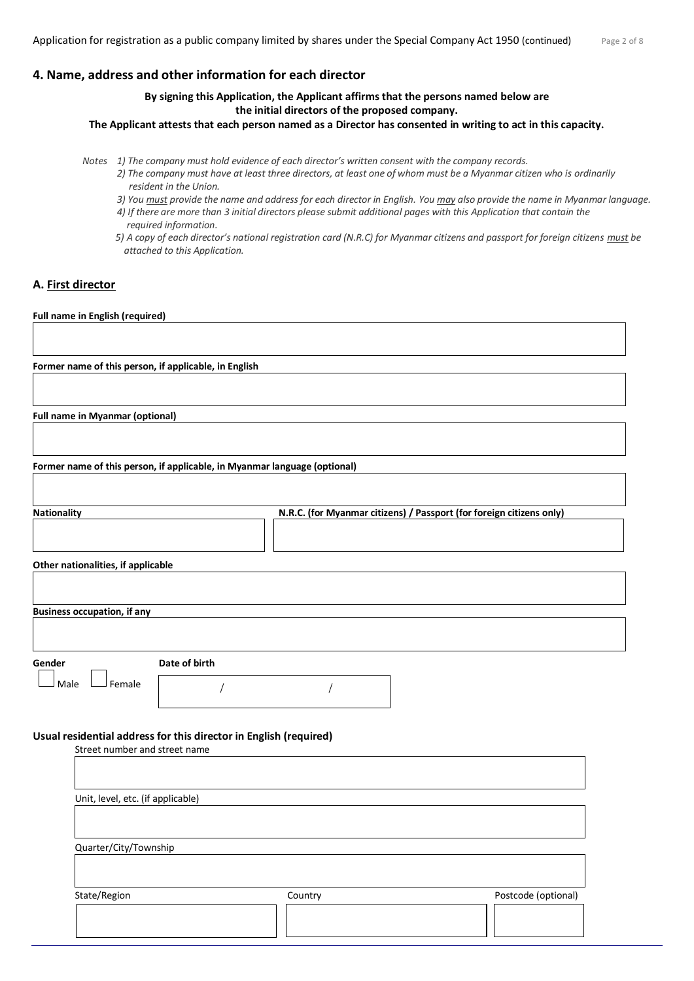### **4. Name, address and other information for each director**

**By signing this Application, the Applicant affirms that the persons named below are the initial directors of the proposed company.** 

**The Applicant attests that each person named as a Director has consented in writing to act in this capacity.**

*Notes 1) The company must hold evidence of each director's written consent with the company records.*

- *2) The company must have at least three directors, at least one of whom must be a Myanmar citizen who is ordinarily resident in the Union.*
	- *3) You must provide the name and address for each director in English. You may also provide the name in Myanmar language. 4) If there are more than 3 initial directors please submit additional pages with this Application that contain the required information.*
	- *5) A copy of each director's national registration card (N.R.C) for Myanmar citizens and passport for foreign citizens*  $must$  *be attached to this Application.*

#### **A. First director**

#### **Full name in English (required)**

| Former name of this person, if applicable, in English                                              |               |                                                                      |                     |
|----------------------------------------------------------------------------------------------------|---------------|----------------------------------------------------------------------|---------------------|
|                                                                                                    |               |                                                                      |                     |
| <b>Full name in Myanmar (optional)</b>                                                             |               |                                                                      |                     |
|                                                                                                    |               |                                                                      |                     |
| Former name of this person, if applicable, in Myanmar language (optional)                          |               |                                                                      |                     |
|                                                                                                    |               |                                                                      |                     |
| Nationality                                                                                        |               | N.R.C. (for Myanmar citizens) / Passport (for foreign citizens only) |                     |
|                                                                                                    |               |                                                                      |                     |
| Other nationalities, if applicable                                                                 |               |                                                                      |                     |
|                                                                                                    |               |                                                                      |                     |
| <b>Business occupation, if any</b>                                                                 |               |                                                                      |                     |
|                                                                                                    |               |                                                                      |                     |
| Gender                                                                                             | Date of birth |                                                                      |                     |
| Male<br>J Female                                                                                   |               |                                                                      |                     |
|                                                                                                    |               |                                                                      |                     |
|                                                                                                    |               |                                                                      |                     |
| Usual residential address for this director in English (required)<br>Street number and street name |               |                                                                      |                     |
|                                                                                                    |               |                                                                      |                     |
| Unit, level, etc. (if applicable)                                                                  |               |                                                                      |                     |
|                                                                                                    |               |                                                                      |                     |
| Quarter/City/Township                                                                              |               |                                                                      |                     |
|                                                                                                    |               |                                                                      |                     |
| State/Region                                                                                       |               | Country                                                              | Postcode (optional) |
|                                                                                                    |               |                                                                      |                     |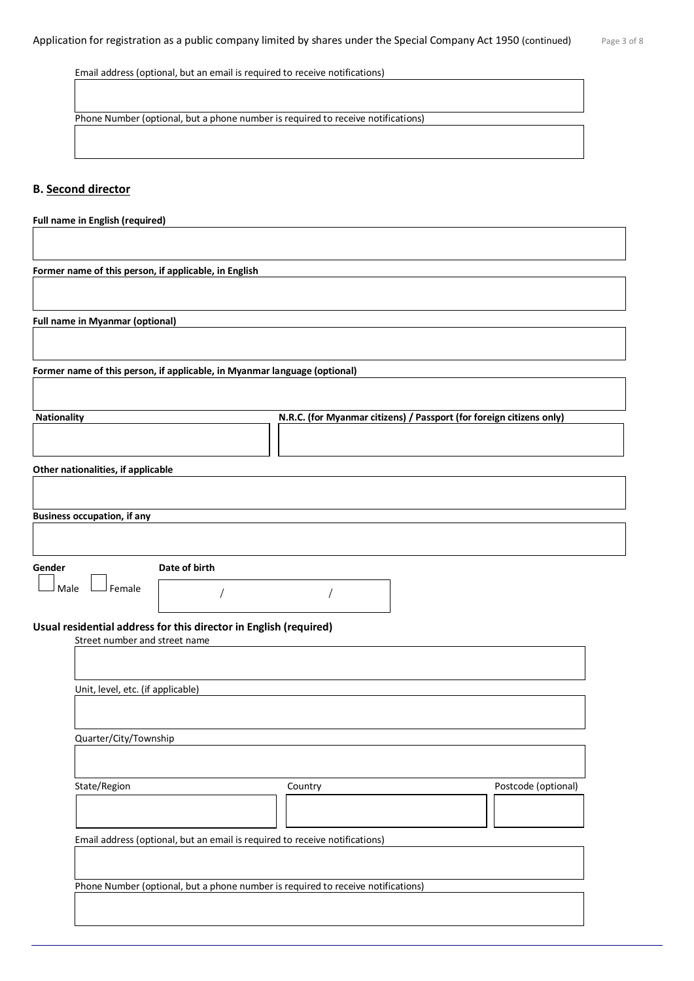Email address (optional, but an email is required to receive notifications)

Phone Number (optional, but a phone number is required to receive notifications)

### **B. Second director**

| Full name in English (required)        |                                                                                  |                                                                      |                     |
|----------------------------------------|----------------------------------------------------------------------------------|----------------------------------------------------------------------|---------------------|
|                                        |                                                                                  |                                                                      |                     |
|                                        | Former name of this person, if applicable, in English                            |                                                                      |                     |
|                                        |                                                                                  |                                                                      |                     |
| <b>Full name in Myanmar (optional)</b> |                                                                                  |                                                                      |                     |
|                                        |                                                                                  |                                                                      |                     |
|                                        | Former name of this person, if applicable, in Myanmar language (optional)        |                                                                      |                     |
|                                        |                                                                                  |                                                                      |                     |
| Nationality                            |                                                                                  | N.R.C. (for Myanmar citizens) / Passport (for foreign citizens only) |                     |
|                                        |                                                                                  |                                                                      |                     |
| Other nationalities, if applicable     |                                                                                  |                                                                      |                     |
|                                        |                                                                                  |                                                                      |                     |
| <b>Business occupation, if any</b>     |                                                                                  |                                                                      |                     |
|                                        |                                                                                  |                                                                      |                     |
| Gender                                 | Date of birth                                                                    |                                                                      |                     |
| Female<br>Male                         |                                                                                  |                                                                      |                     |
|                                        | Usual residential address for this director in English (required)                |                                                                      |                     |
| Street number and street name          |                                                                                  |                                                                      |                     |
|                                        |                                                                                  |                                                                      |                     |
| Unit, level, etc. (if applicable)      |                                                                                  |                                                                      |                     |
|                                        |                                                                                  |                                                                      |                     |
| Quarter/City/Township                  |                                                                                  |                                                                      |                     |
|                                        |                                                                                  |                                                                      |                     |
| State/Region                           |                                                                                  | Country                                                              | Postcode (optional) |
|                                        |                                                                                  |                                                                      |                     |
|                                        | Email address (optional, but an email is required to receive notifications)      |                                                                      |                     |
|                                        |                                                                                  |                                                                      |                     |
|                                        | Phone Number (optional, but a phone number is required to receive notifications) |                                                                      |                     |
|                                        |                                                                                  |                                                                      |                     |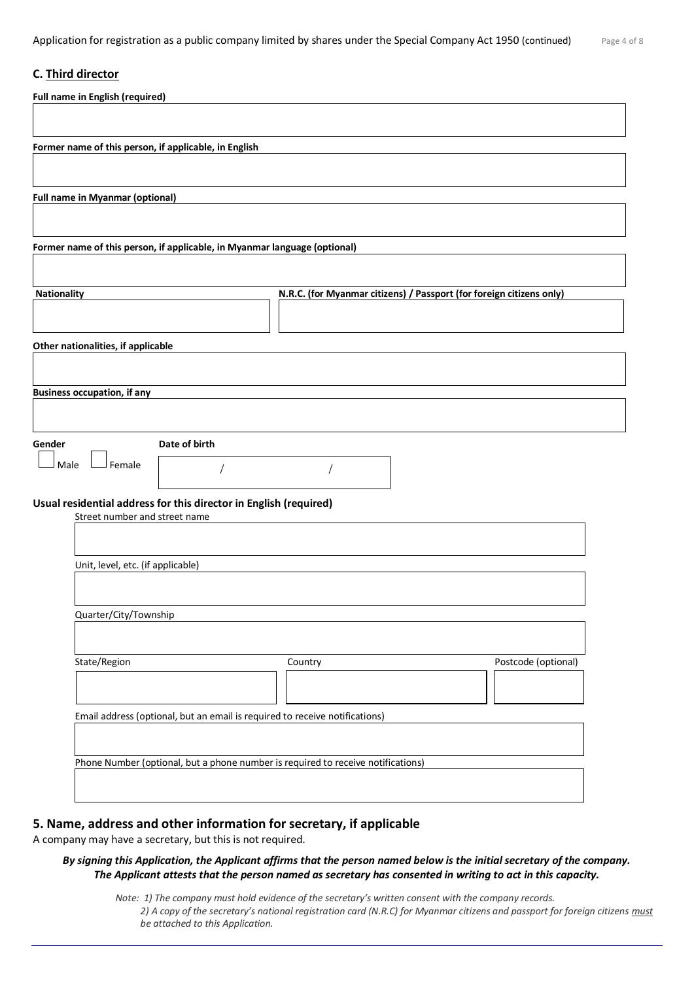# **C. Third director**

| <b>Full name in English (required)</b>                                                             |
|----------------------------------------------------------------------------------------------------|
|                                                                                                    |
| Former name of this person, if applicable, in English                                              |
|                                                                                                    |
| <b>Full name in Myanmar (optional)</b>                                                             |
|                                                                                                    |
|                                                                                                    |
| Former name of this person, if applicable, in Myanmar language (optional)                          |
|                                                                                                    |
| Nationality<br>N.R.C. (for Myanmar citizens) / Passport (for foreign citizens only)                |
|                                                                                                    |
| Other nationalities, if applicable                                                                 |
|                                                                                                    |
| <b>Business occupation, if any</b>                                                                 |
|                                                                                                    |
| Gender<br>Date of birth                                                                            |
| Female<br>Male                                                                                     |
|                                                                                                    |
| Usual residential address for this director in English (required)<br>Street number and street name |
|                                                                                                    |
|                                                                                                    |
| Unit, level, etc. (if applicable)                                                                  |
|                                                                                                    |
| Quarter/City/Township                                                                              |
|                                                                                                    |
| State/Region<br>Postcode (optional)<br>Country                                                     |
|                                                                                                    |
| Email address (optional, but an email is required to receive notifications)                        |
|                                                                                                    |
| Phone Number (optional, but a phone number is required to receive notifications)                   |
|                                                                                                    |
|                                                                                                    |

# **5. Name, address and other information for secretary, if applicable**

A company may have a secretary, but this is not required.

#### *By signing this Application, the Applicant affirms that the person named below is the initial secretary of the company. The Applicant attests that the person named as secretary has consented in writing to act in this capacity.*

*Note: 1) The company must hold evidence of the secretary's written consent with the company records. 2) A copy of the secretary's national registration card (N.R.C) for Myanmar citizens and passport for foreign citizens must be attached to this Application.*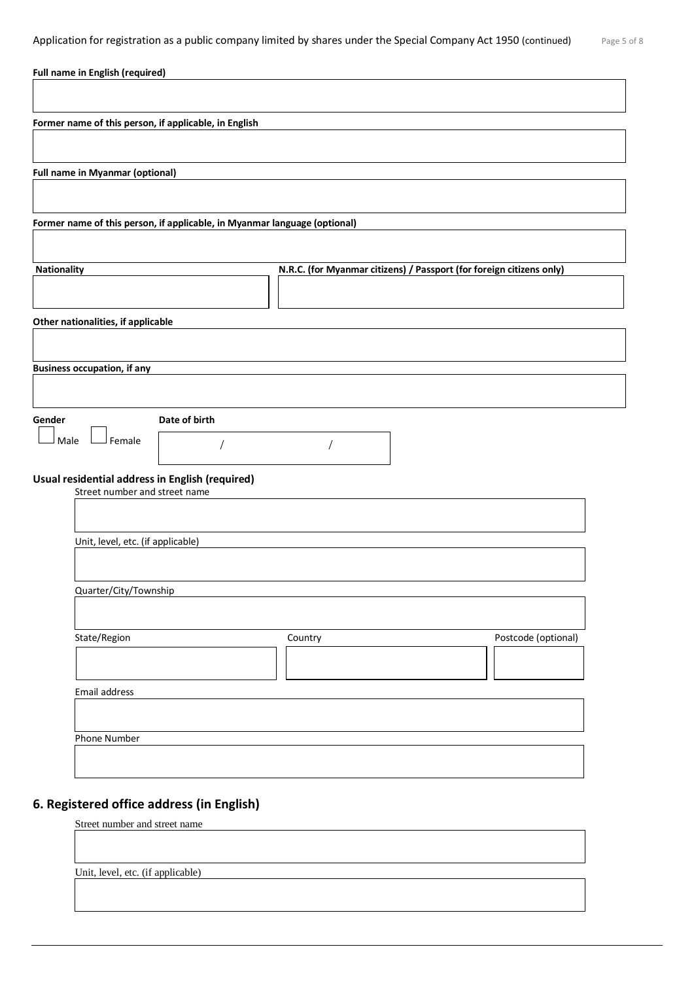| <b>Full name in English (required)</b>                                    |                                                                      |
|---------------------------------------------------------------------------|----------------------------------------------------------------------|
|                                                                           |                                                                      |
| Former name of this person, if applicable, in English                     |                                                                      |
|                                                                           |                                                                      |
| <b>Full name in Myanmar (optional)</b>                                    |                                                                      |
|                                                                           |                                                                      |
| Former name of this person, if applicable, in Myanmar language (optional) |                                                                      |
|                                                                           |                                                                      |
| Nationality                                                               | N.R.C. (for Myanmar citizens) / Passport (for foreign citizens only) |
|                                                                           |                                                                      |
| Other nationalities, if applicable                                        |                                                                      |
|                                                                           |                                                                      |
| <b>Business occupation, if any</b>                                        |                                                                      |
|                                                                           |                                                                      |
| Gender<br>Date of birth                                                   |                                                                      |
| Female<br>Male                                                            |                                                                      |
| Usual residential address in English (required)                           |                                                                      |
| Street number and street name                                             |                                                                      |
|                                                                           |                                                                      |
| Unit, level, etc. (if applicable)                                         |                                                                      |
|                                                                           |                                                                      |
| Quarter/City/Township                                                     |                                                                      |
| State/Region                                                              | Postcode (optional)<br>Country                                       |
|                                                                           |                                                                      |
|                                                                           |                                                                      |
| Email address                                                             |                                                                      |
| Phone Number                                                              |                                                                      |
|                                                                           |                                                                      |
|                                                                           |                                                                      |

# **6. Registered office address (in English)**

Street number and street name

Unit, level, etc. (if applicable)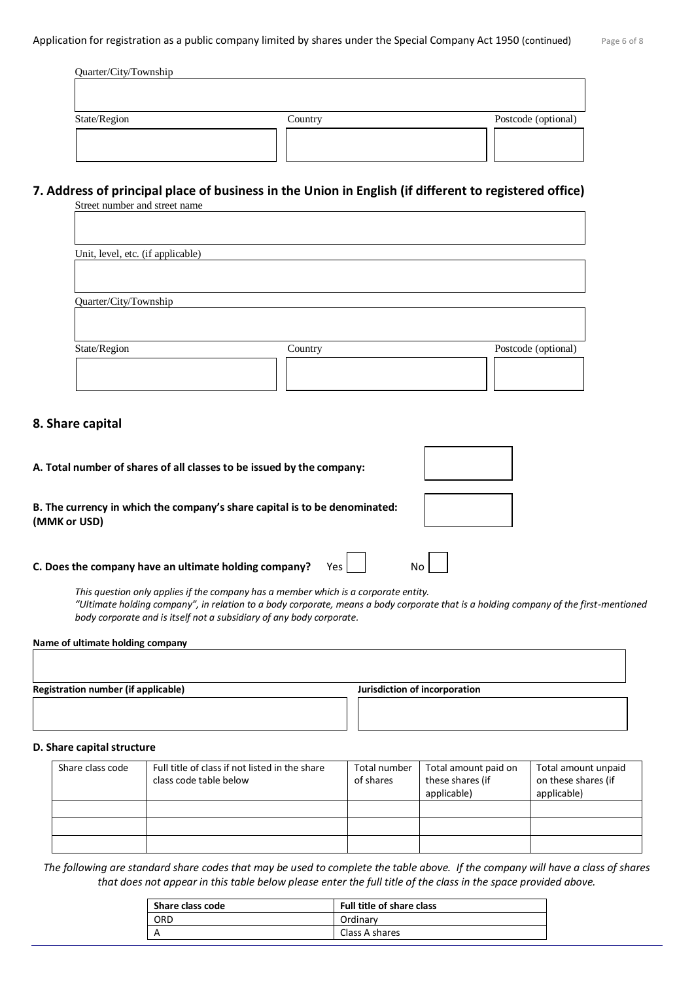| Quarter/City/Township |         |                     |
|-----------------------|---------|---------------------|
| State/Region          | Country | Postcode (optional) |
|                       |         |                     |

### **7. Address of principal place of business in the Union in English (if different to registered office)** Street number and street name

| Unit, level, etc. (if applicable) |         |                     |
|-----------------------------------|---------|---------------------|
|                                   |         |                     |
| Quarter/City/Township             |         |                     |
|                                   |         |                     |
|                                   |         |                     |
| State/Region                      | Country | Postcode (optional) |
|                                   |         |                     |
|                                   |         |                     |

# **8. Share capital**

| A. Total number of shares of all classes to be issued by the company:                                                                       |  |  |
|---------------------------------------------------------------------------------------------------------------------------------------------|--|--|
| B. The currency in which the company's share capital is to be denominated:<br>(MMK or USD)                                                  |  |  |
| C. Does the company have an ultimate holding company?<br>This question only annlies if the company has a member which is a corporate entity |  |  |

*This question only applies if the company has a member which is a corporate entity. "Ultimate holding company", in relation to a body corporate, means a body corporate that is a holding company of the first-mentioned body corporate and is itself not a subsidiary of any body corporate.*

 $\overline{1}$ 

٦

**Name of ultimate holding company** 

**Registration number (if applicable) Jurisdiction of incorporation**

#### **D. Share capital structure**

| Share class code | Full title of class if not listed in the share<br>class code table below | Total number<br>of shares | Total amount paid on<br>these shares (if<br>applicable) | Total amount unpaid<br>on these shares (if<br>applicable) |
|------------------|--------------------------------------------------------------------------|---------------------------|---------------------------------------------------------|-----------------------------------------------------------|
|                  |                                                                          |                           |                                                         |                                                           |
|                  |                                                                          |                           |                                                         |                                                           |
|                  |                                                                          |                           |                                                         |                                                           |

*The following are standard share codes that may be used to complete the table above. If the company will have a class of shares that does not appear in this table below please enter the full title of the class in the space provided above.*

| Share class code | <b>Full title of share class</b> |
|------------------|----------------------------------|
| ORD              | Ordinary                         |
| A                | Class A shares                   |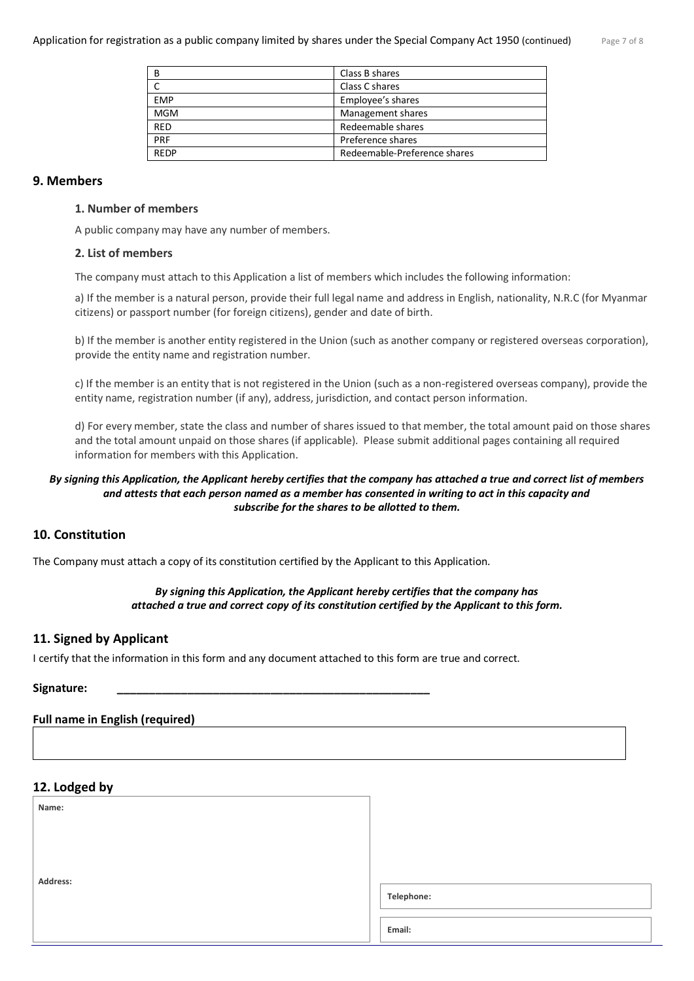| B           | Class B shares               |
|-------------|------------------------------|
|             | Class C shares               |
| <b>EMP</b>  | Employee's shares            |
| <b>MGM</b>  | Management shares            |
| <b>RED</b>  | Redeemable shares            |
| PRF         | Preference shares            |
| <b>REDP</b> | Redeemable-Preference shares |

#### **9. Members**

#### **1. Number of members**

A public company may have any number of members.

#### **2. List of members**

The company must attach to this Application a list of members which includes the following information:

a) If the member is a natural person, provide their full legal name and address in English, nationality, N.R.C (for Myanmar citizens) or passport number (for foreign citizens), gender and date of birth.

b) If the member is another entity registered in the Union (such as another company or registered overseas corporation), provide the entity name and registration number.

c) If the member is an entity that is not registered in the Union (such as a non-registered overseas company), provide the entity name, registration number (if any), address, jurisdiction, and contact person information.

d) For every member, state the class and number of shares issued to that member, the total amount paid on those shares and the total amount unpaid on those shares (if applicable). Please submit additional pages containing all required information for members with this Application.

#### *By signing this Application, the Applicant hereby certifies that the company has attached a true and correct list of members and attests that each person named as a member has consented in writing to act in this capacity and subscribe for the shares to be allotted to them.*

# **10. Constitution**

The Company must attach a copy of its constitution certified by the Applicant to this Application.

### *By signing this Application, the Applicant hereby certifies that the company has attached a true and correct copy of its constitution certified by the Applicant to this form.*

#### **11. Signed by Applicant**

I certify that the information in this form and any document attached to this form are true and correct.

#### **Signature: \_\_\_\_\_\_\_\_\_\_\_\_\_\_\_\_\_\_\_\_\_\_\_\_\_\_\_\_\_\_\_\_\_\_\_\_\_\_\_\_\_\_\_\_\_\_\_\_\_**

#### **Full name in English (required)**

# **12. Lodged by**

 **Name:**

**Address:**

**Telephone:**

**Email:**